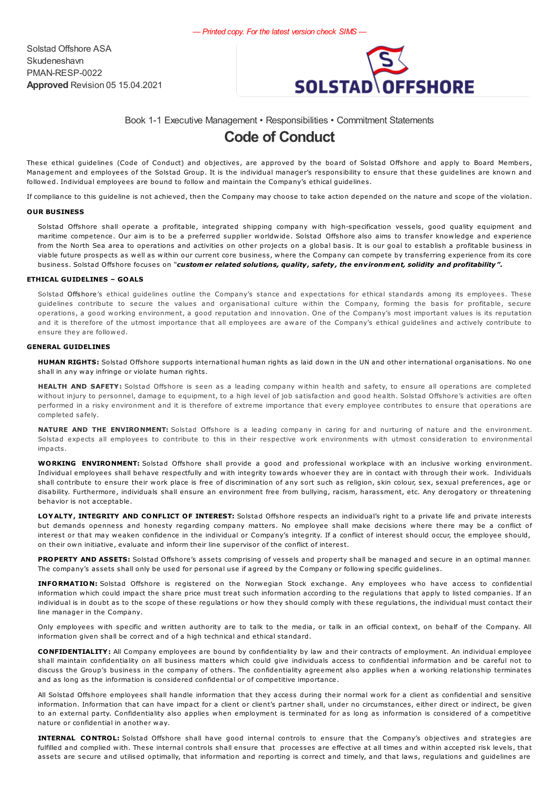Solstad Offshore ASA Skudeneshavn PMAN-RESP-0022 Approved Revision 05 15.04.2021



## Book 1-1 Executive Management • Responsibilities • Commitment Statements

# Code of Conduct

These ethical guidelines (Code of Conduct) and objectives, are approved by the board of Solstad Offshore and apply to Board Members, Management and employees of the Solstad Group. It is the individual manager's responsibility to ensure that these guidelines are known and followed. Individual employees are bound to follow and maintain the Company's ethical guidelines.

If compliance to this guideline is not achieved, then the Company may choose to take action depended on the nature and scope of the violation.

### OUR BUSINESS

Solstad Offshore shall operate a profitable, integrated shipping company with high-specification vessels, good quality equipment and maritime competence. Our aim is to be a preferred supplier worldwide. Solstad Offshore also aims to transfer knowledge and experience from the North Sea area to operations and activities on other projects on a global basis. It is our goal to establish a profitable business in viable future prospects as well as within our current core business, where the Company can compete by transferring experience from its core business. Solstad Offshore focuses on "customer related solutions, quality, safety, the environment, solidity and profitability".

#### ETHICAL GUIDELINES – GOALS

Solstad Offshore's ethical guidelines outline the Company's stance and expectations for ethical standards among its employees. These guidelines contribute to secure the values and organisational culture within the Company, forming the basis for profitable, secure operations, a good working environment, a good reputation and innovation. One of the Company's most important values is its reputation and it is therefore of the utmost importance that all employees are aware of the Company's ethical guidelines and actively contribute to ensure they are followed.

## GENERAL GUIDELINES

HUMAN RIGHTS: Solstad Offshore supports international human rights as laid down in the UN and other international organisations. No one shall in any way infringe or violate human rights.

HEALTH AND SAFETY: Solstad Offshore is seen as a leading company within health and safety, to ensure all operations are completed without injury to personnel, damage to equipment, to a high level of job satisfaction and good health. Solstad Offshore's activities are often performed in a risky environment and it is therefore of extreme importance that every employee contributes to ensure that operations are completed safely.

NATURE AND THE ENVIRONMENT: Solstad Offshore is a leading company in caring for and nurturing of nature and the environment. Solstad expects all employees to contribute to this in their respective work environments with utmost consideration to environmental impacts.

WORKING ENVIRONMENT: Solstad Offshore shall provide a good and professional workplace with an inclusive working environment. Individual employees shall behave respectfully and with integrity towards whoever they are in contact with through their work. Individuals shall contribute to ensure their work place is free of discrimination of any sort such as religion, skin colour, sex, sexual preferences, age or disability. Furthermore, individuals shall ensure an environment free from bullying, racism, harassment, etc. Any derogatory or threatening behavior is not acceptable.

LOYALTY, INTEGRITY AND CONFLICT OF INTEREST: Solstad Offshore respects an individual's right to a private life and private interests but demands openness and honesty regarding company matters. No employee shall make decisions where there may be a conflict of interest or that may weaken confidence in the individual or Company's integrity. If a conflict of interest should occur, the employee should, on their own initiative, evaluate and inform their line supervisor of the conflict of interest.

PROPERTY AND ASSETS: Solstad Offshore's assets comprising of vessels and property shall be managed and secure in an optimal manner. The company's assets shall only be used for personal use if agreed by the Company or following specific guidelines.

INFORMATION: Solstad Offshore is registered on the Norwegian Stock exchange. Any employees who have access to confidential information which could impact the share price must treat such information according to the regulations that apply to listed companies. If an individual is in doubt as to the scope of these regulations or how they should comply with these regulations, the individual must contact their line manager in the Company.

Only employees with specific and written authority are to talk to the media, or talk in an official context, on behalf of the Company. All information given shall be correct and of a high technical and ethical standard.

CONFIDENTIALITY: All Company employees are bound by confidentiality by law and their contracts of employment. An individual employee shall maintain confidentiality on all business matters which could give individuals access to confidential information and be careful not to discuss the Group's business in the company of others. The confidentiality agreement also applies when a working relationship terminates and as long as the information is considered confidential or of competitive importance.

All Solstad Offshore employees shall handle information that they access during their normal work for a client as confidential and sensitive information. Information that can have impact for a client or client's partner shall, under no circumstances, either direct or indirect, be given to an external party. Confidentiality also applies when employment is terminated for as long as information is considered of a competitive nature or confidential in another way.

INTERNAL CONTROL: Solstad Offshore shall have good internal controls to ensure that the Company's objectives and strategies are fulfilled and complied with. These internal controls shall ensure that processes are effective at all times and within accepted risk levels, that assets are secure and utilised optimally, that information and reporting is correct and timely, and that laws, regulations and guidelines are